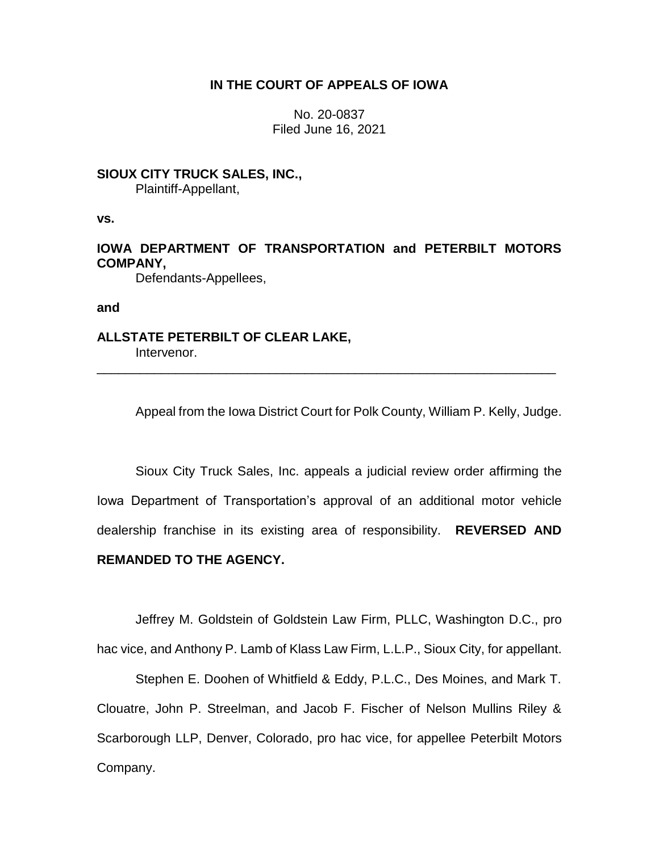## **IN THE COURT OF APPEALS OF IOWA**

No. 20-0837 Filed June 16, 2021

# **SIOUX CITY TRUCK SALES, INC.,**

Plaintiff-Appellant,

**vs.**

# **IOWA DEPARTMENT OF TRANSPORTATION and PETERBILT MOTORS COMPANY,**

\_\_\_\_\_\_\_\_\_\_\_\_\_\_\_\_\_\_\_\_\_\_\_\_\_\_\_\_\_\_\_\_\_\_\_\_\_\_\_\_\_\_\_\_\_\_\_\_\_\_\_\_\_\_\_\_\_\_\_\_\_\_\_\_

Defendants-Appellees,

**and**

**ALLSTATE PETERBILT OF CLEAR LAKE,** Intervenor.

Appeal from the Iowa District Court for Polk County, William P. Kelly, Judge.

Sioux City Truck Sales, Inc. appeals a judicial review order affirming the Iowa Department of Transportation's approval of an additional motor vehicle dealership franchise in its existing area of responsibility. **REVERSED AND REMANDED TO THE AGENCY.**

Jeffrey M. Goldstein of Goldstein Law Firm, PLLC, Washington D.C., pro

hac vice, and Anthony P. Lamb of Klass Law Firm, L.L.P., Sioux City, for appellant.

Stephen E. Doohen of Whitfield & Eddy, P.L.C., Des Moines, and Mark T. Clouatre, John P. Streelman, and Jacob F. Fischer of Nelson Mullins Riley & Scarborough LLP, Denver, Colorado, pro hac vice, for appellee Peterbilt Motors Company.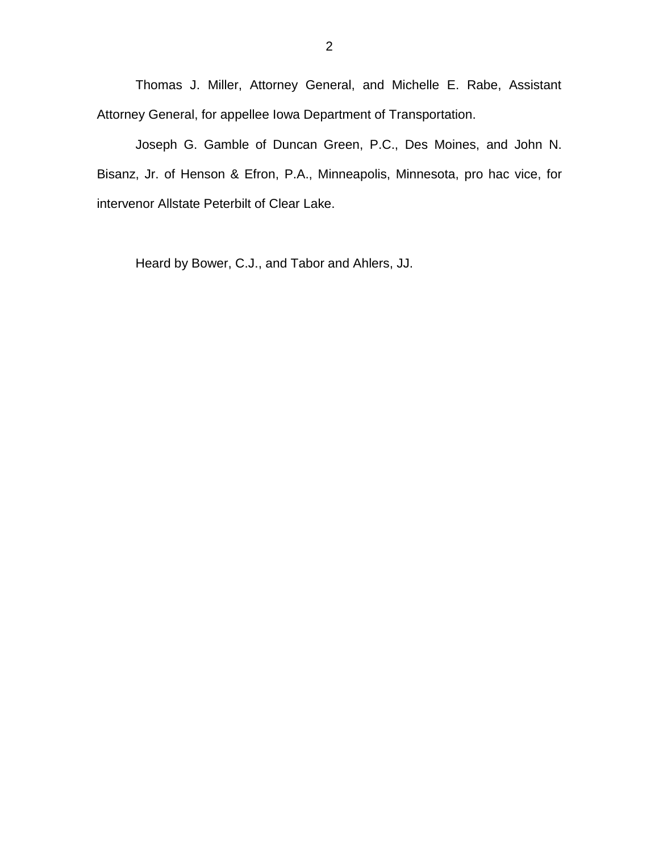Thomas J. Miller, Attorney General, and Michelle E. Rabe, Assistant Attorney General, for appellee Iowa Department of Transportation.

Joseph G. Gamble of Duncan Green, P.C., Des Moines, and John N. Bisanz, Jr. of Henson & Efron, P.A., Minneapolis, Minnesota, pro hac vice, for intervenor Allstate Peterbilt of Clear Lake.

Heard by Bower, C.J., and Tabor and Ahlers, JJ.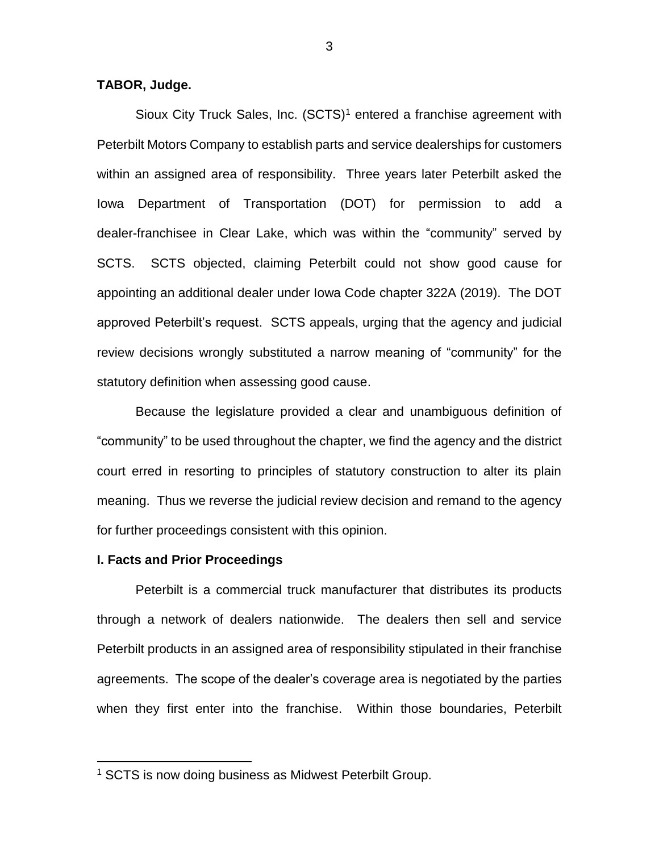**TABOR, Judge.**

Sioux City Truck Sales, Inc. (SCTS)<sup>1</sup> entered a franchise agreement with Peterbilt Motors Company to establish parts and service dealerships for customers within an assigned area of responsibility. Three years later Peterbilt asked the Iowa Department of Transportation (DOT) for permission to add a dealer-franchisee in Clear Lake, which was within the "community" served by SCTS. SCTS objected, claiming Peterbilt could not show good cause for appointing an additional dealer under Iowa Code chapter 322A (2019). The DOT approved Peterbilt's request. SCTS appeals, urging that the agency and judicial review decisions wrongly substituted a narrow meaning of "community" for the statutory definition when assessing good cause.

Because the legislature provided a clear and unambiguous definition of "community" to be used throughout the chapter, we find the agency and the district court erred in resorting to principles of statutory construction to alter its plain meaning. Thus we reverse the judicial review decision and remand to the agency for further proceedings consistent with this opinion.

#### **I. Facts and Prior Proceedings**

 $\overline{a}$ 

Peterbilt is a commercial truck manufacturer that distributes its products through a network of dealers nationwide. The dealers then sell and service Peterbilt products in an assigned area of responsibility stipulated in their franchise agreements. The scope of the dealer's coverage area is negotiated by the parties when they first enter into the franchise. Within those boundaries, Peterbilt

<sup>1</sup> SCTS is now doing business as Midwest Peterbilt Group.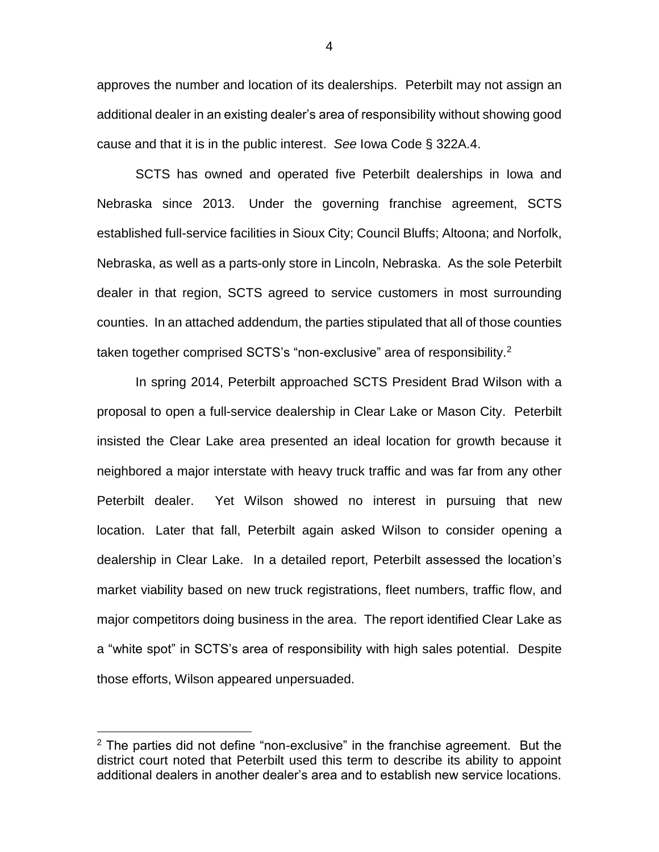approves the number and location of its dealerships. Peterbilt may not assign an additional dealer in an existing dealer's area of responsibility without showing good cause and that it is in the public interest. *See* Iowa Code § 322A.4.

SCTS has owned and operated five Peterbilt dealerships in Iowa and Nebraska since 2013. Under the governing franchise agreement, SCTS established full-service facilities in Sioux City; Council Bluffs; Altoona; and Norfolk, Nebraska, as well as a parts-only store in Lincoln, Nebraska. As the sole Peterbilt dealer in that region, SCTS agreed to service customers in most surrounding counties. In an attached addendum, the parties stipulated that all of those counties taken together comprised SCTS's "non-exclusive" area of responsibility.<sup>2</sup>

In spring 2014, Peterbilt approached SCTS President Brad Wilson with a proposal to open a full-service dealership in Clear Lake or Mason City. Peterbilt insisted the Clear Lake area presented an ideal location for growth because it neighbored a major interstate with heavy truck traffic and was far from any other Peterbilt dealer. Yet Wilson showed no interest in pursuing that new location. Later that fall, Peterbilt again asked Wilson to consider opening a dealership in Clear Lake. In a detailed report, Peterbilt assessed the location's market viability based on new truck registrations, fleet numbers, traffic flow, and major competitors doing business in the area. The report identified Clear Lake as a "white spot" in SCTS's area of responsibility with high sales potential. Despite those efforts, Wilson appeared unpersuaded.

 $\overline{a}$ 

4

 $2$  The parties did not define "non-exclusive" in the franchise agreement. But the district court noted that Peterbilt used this term to describe its ability to appoint additional dealers in another dealer's area and to establish new service locations.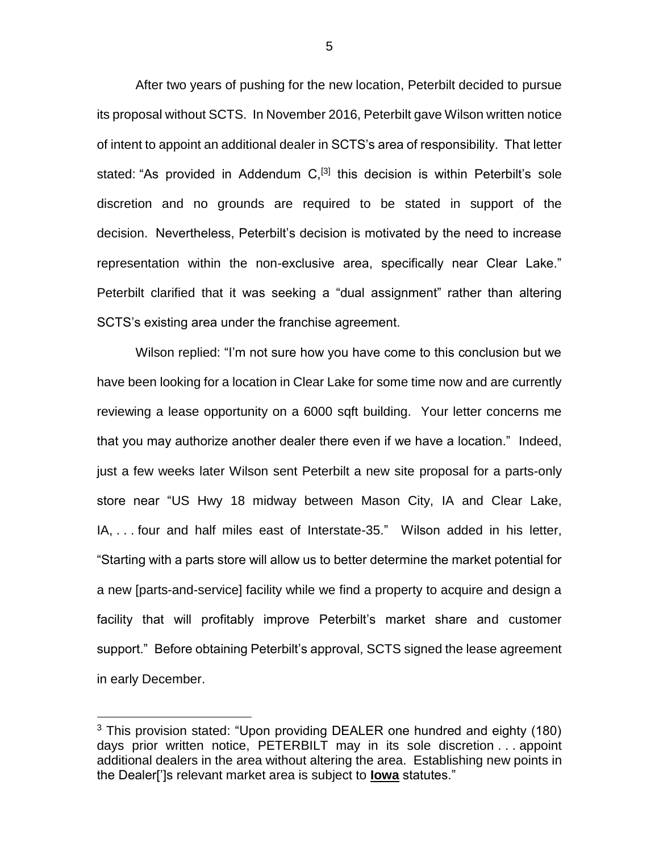After two years of pushing for the new location, Peterbilt decided to pursue its proposal without SCTS. In November 2016, Peterbilt gave Wilson written notice of intent to appoint an additional dealer in SCTS's area of responsibility. That letter stated: "As provided in Addendum C,<sup>[3]</sup> this decision is within Peterbilt's sole discretion and no grounds are required to be stated in support of the decision. Nevertheless, Peterbilt's decision is motivated by the need to increase representation within the non-exclusive area, specifically near Clear Lake." Peterbilt clarified that it was seeking a "dual assignment" rather than altering SCTS's existing area under the franchise agreement.

Wilson replied: "I'm not sure how you have come to this conclusion but we have been looking for a location in Clear Lake for some time now and are currently reviewing a lease opportunity on a 6000 sqft building. Your letter concerns me that you may authorize another dealer there even if we have a location." Indeed, just a few weeks later Wilson sent Peterbilt a new site proposal for a parts-only store near "US Hwy 18 midway between Mason City, IA and Clear Lake, IA, . . . four and half miles east of Interstate-35." Wilson added in his letter, "Starting with a parts store will allow us to better determine the market potential for a new [parts-and-service] facility while we find a property to acquire and design a facility that will profitably improve Peterbilt's market share and customer support." Before obtaining Peterbilt's approval, SCTS signed the lease agreement in early December.

<sup>&</sup>lt;sup>3</sup> This provision stated: "Upon providing DEALER one hundred and eighty (180) days prior written notice, PETERBILT may in its sole discretion . . . appoint additional dealers in the area without altering the area. Establishing new points in the Dealer[']s relevant market area is subject to **Iowa** statutes."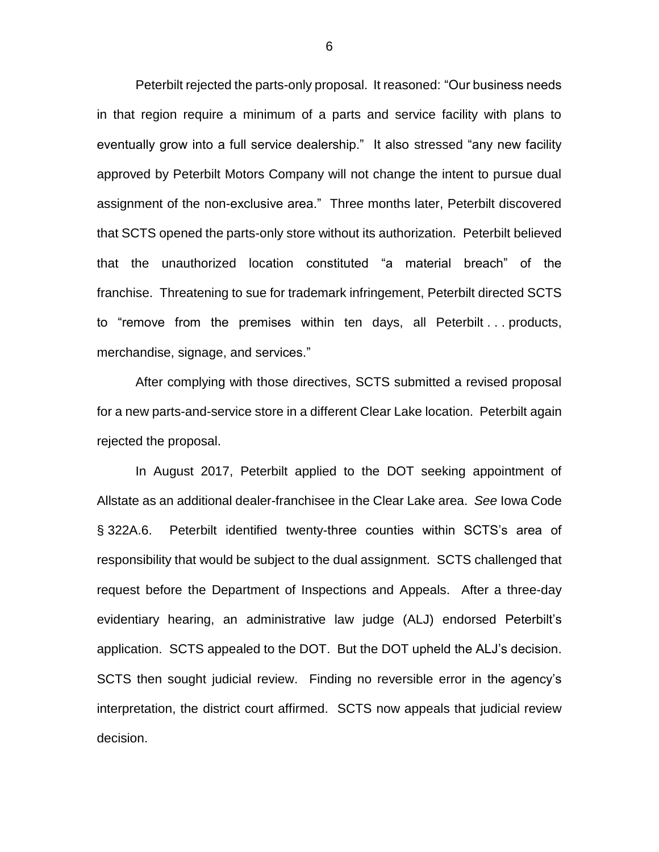Peterbilt rejected the parts-only proposal. It reasoned: "Our business needs in that region require a minimum of a parts and service facility with plans to eventually grow into a full service dealership." It also stressed "any new facility approved by Peterbilt Motors Company will not change the intent to pursue dual assignment of the non-exclusive area." Three months later, Peterbilt discovered that SCTS opened the parts-only store without its authorization. Peterbilt believed that the unauthorized location constituted "a material breach" of the franchise. Threatening to sue for trademark infringement, Peterbilt directed SCTS to "remove from the premises within ten days, all Peterbilt . . . products, merchandise, signage, and services."

After complying with those directives, SCTS submitted a revised proposal for a new parts-and-service store in a different Clear Lake location. Peterbilt again rejected the proposal.

In August 2017, Peterbilt applied to the DOT seeking appointment of Allstate as an additional dealer-franchisee in the Clear Lake area. *See* Iowa Code § 322A.6. Peterbilt identified twenty-three counties within SCTS's area of responsibility that would be subject to the dual assignment. SCTS challenged that request before the Department of Inspections and Appeals. After a three-day evidentiary hearing, an administrative law judge (ALJ) endorsed Peterbilt's application. SCTS appealed to the DOT. But the DOT upheld the ALJ's decision. SCTS then sought judicial review. Finding no reversible error in the agency's interpretation, the district court affirmed. SCTS now appeals that judicial review decision.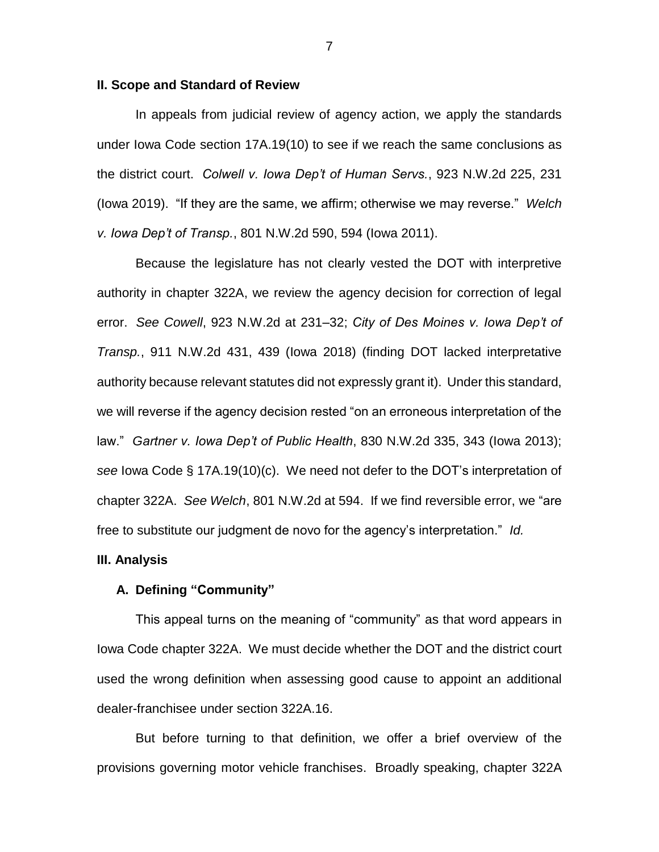#### **II. Scope and Standard of Review**

In appeals from judicial review of agency action, we apply the standards under Iowa Code section 17A.19(10) to see if we reach the same conclusions as the district court. *Colwell v. Iowa Dep't of Human Servs.*, 923 N.W.2d 225, 231 (Iowa 2019). "If they are the same, we affirm; otherwise we may reverse." *Welch v. Iowa Dep't of Transp.*, 801 N.W.2d 590, 594 (Iowa 2011).

Because the legislature has not clearly vested the DOT with interpretive authority in chapter 322A, we review the agency decision for correction of legal error. *See Cowell*, 923 N.W.2d at 231–32; *City of Des Moines v. Iowa Dep't of Transp.*, 911 N.W.2d 431, 439 (Iowa 2018) (finding DOT lacked interpretative authority because relevant statutes did not expressly grant it). Under this standard, we will reverse if the agency decision rested "on an erroneous interpretation of the law." *Gartner v. Iowa Dep't of Public Health*, 830 N.W.2d 335, 343 (Iowa 2013); *see* Iowa Code § 17A.19(10)(c). We need not defer to the DOT's interpretation of chapter 322A. *See Welch*, 801 N.W.2d at 594. If we find reversible error, we "are free to substitute our judgment de novo for the agency's interpretation." *Id.*

#### **III. Analysis**

### **A. Defining "Community"**

This appeal turns on the meaning of "community" as that word appears in Iowa Code chapter 322A. We must decide whether the DOT and the district court used the wrong definition when assessing good cause to appoint an additional dealer-franchisee under section 322A.16.

But before turning to that definition, we offer a brief overview of the provisions governing motor vehicle franchises. Broadly speaking, chapter 322A

7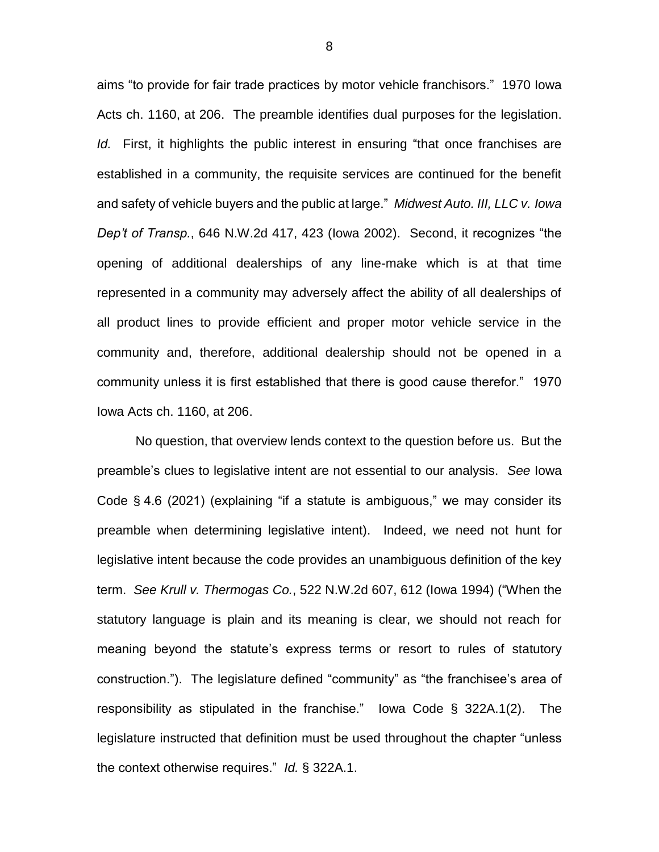aims "to provide for fair trade practices by motor vehicle franchisors." 1970 Iowa Acts ch. 1160, at 206. The preamble identifies dual purposes for the legislation. *Id.* First, it highlights the public interest in ensuring "that once franchises are established in a community, the requisite services are continued for the benefit and safety of vehicle buyers and the public at large." *Midwest Auto. III, LLC v. Iowa Dep't of Transp.*, 646 N.W.2d 417, 423 (Iowa 2002). Second, it recognizes "the opening of additional dealerships of any line-make which is at that time represented in a community may adversely affect the ability of all dealerships of all product lines to provide efficient and proper motor vehicle service in the community and, therefore, additional dealership should not be opened in a community unless it is first established that there is good cause therefor." 1970 Iowa Acts ch. 1160, at 206.

No question, that overview lends context to the question before us. But the preamble's clues to legislative intent are not essential to our analysis. *See* Iowa Code § 4.6 (2021) (explaining "if a statute is ambiguous," we may consider its preamble when determining legislative intent). Indeed, we need not hunt for legislative intent because the code provides an unambiguous definition of the key term. *See Krull v. Thermogas Co.*, 522 N.W.2d 607, 612 (Iowa 1994) ("When the statutory language is plain and its meaning is clear, we should not reach for meaning beyond the statute's express terms or resort to rules of statutory construction."). The legislature defined "community" as "the franchisee's area of responsibility as stipulated in the franchise." Iowa Code § 322A.1(2). The legislature instructed that definition must be used throughout the chapter "unless the context otherwise requires." *Id.* § 322A.1.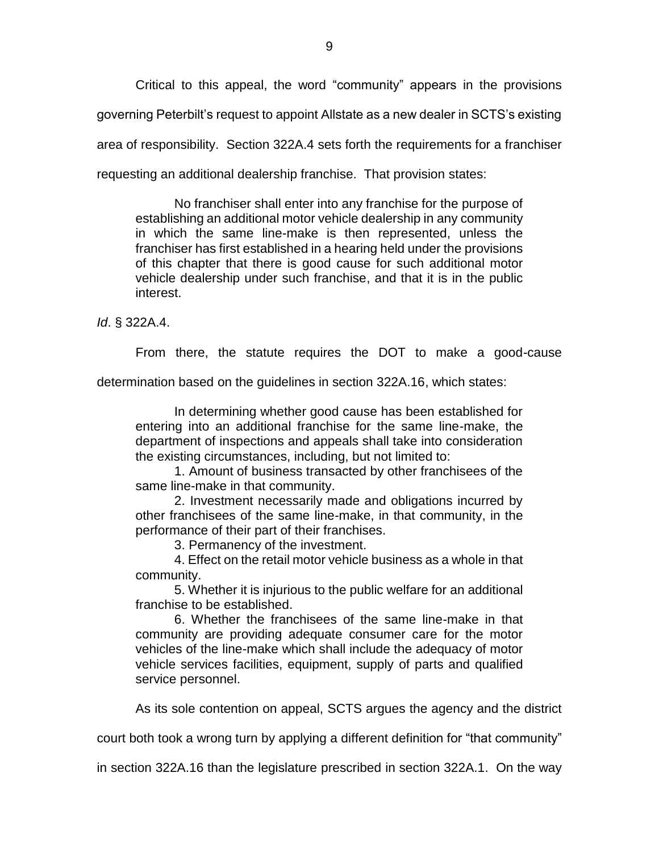Critical to this appeal, the word "community" appears in the provisions governing Peterbilt's request to appoint Allstate as a new dealer in SCTS's existing area of responsibility. Section 322A.4 sets forth the requirements for a franchiser requesting an additional dealership franchise. That provision states:

No franchiser shall enter into any franchise for the purpose of establishing an additional motor vehicle dealership in any community in which the same line-make is then represented, unless the franchiser has first established in a hearing held under the provisions of this chapter that there is good cause for such additional motor vehicle dealership under such franchise, and that it is in the public interest.

*Id*. § 322A.4.

From there, the statute requires the DOT to make a good-cause

determination based on the guidelines in section 322A.16, which states:

In determining whether good cause has been established for entering into an additional franchise for the same line-make, the department of inspections and appeals shall take into consideration the existing circumstances, including, but not limited to:

1. Amount of business transacted by other franchisees of the same line-make in that community.

2. Investment necessarily made and obligations incurred by other franchisees of the same line-make, in that community, in the performance of their part of their franchises.

3. Permanency of the investment.

4. Effect on the retail motor vehicle business as a whole in that community.

5. Whether it is injurious to the public welfare for an additional franchise to be established.

6. Whether the franchisees of the same line-make in that community are providing adequate consumer care for the motor vehicles of the line-make which shall include the adequacy of motor vehicle services facilities, equipment, supply of parts and qualified service personnel.

As its sole contention on appeal, SCTS argues the agency and the district

court both took a wrong turn by applying a different definition for "that community"

in section 322A.16 than the legislature prescribed in section 322A.1. On the way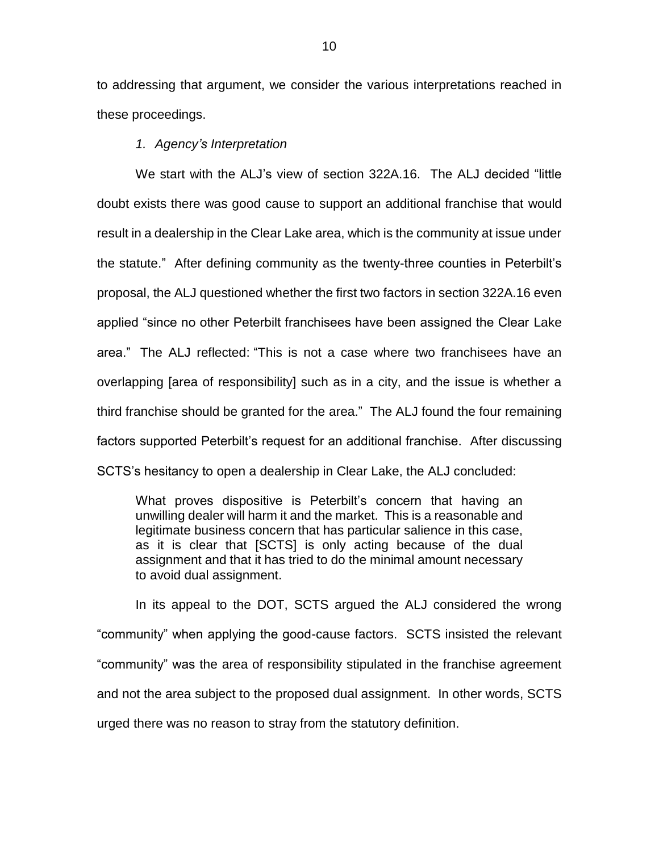to addressing that argument, we consider the various interpretations reached in these proceedings.

*1. Agency's Interpretation* 

We start with the ALJ's view of section 322A.16. The ALJ decided "little doubt exists there was good cause to support an additional franchise that would result in a dealership in the Clear Lake area, which is the community at issue under the statute." After defining community as the twenty-three counties in Peterbilt's proposal, the ALJ questioned whether the first two factors in section 322A.16 even applied "since no other Peterbilt franchisees have been assigned the Clear Lake area." The ALJ reflected: "This is not a case where two franchisees have an overlapping [area of responsibility] such as in a city, and the issue is whether a third franchise should be granted for the area." The ALJ found the four remaining factors supported Peterbilt's request for an additional franchise. After discussing SCTS's hesitancy to open a dealership in Clear Lake, the ALJ concluded:

What proves dispositive is Peterbilt's concern that having an unwilling dealer will harm it and the market. This is a reasonable and legitimate business concern that has particular salience in this case, as it is clear that [SCTS] is only acting because of the dual assignment and that it has tried to do the minimal amount necessary to avoid dual assignment.

In its appeal to the DOT, SCTS argued the ALJ considered the wrong "community" when applying the good-cause factors. SCTS insisted the relevant "community" was the area of responsibility stipulated in the franchise agreement and not the area subject to the proposed dual assignment. In other words, SCTS urged there was no reason to stray from the statutory definition.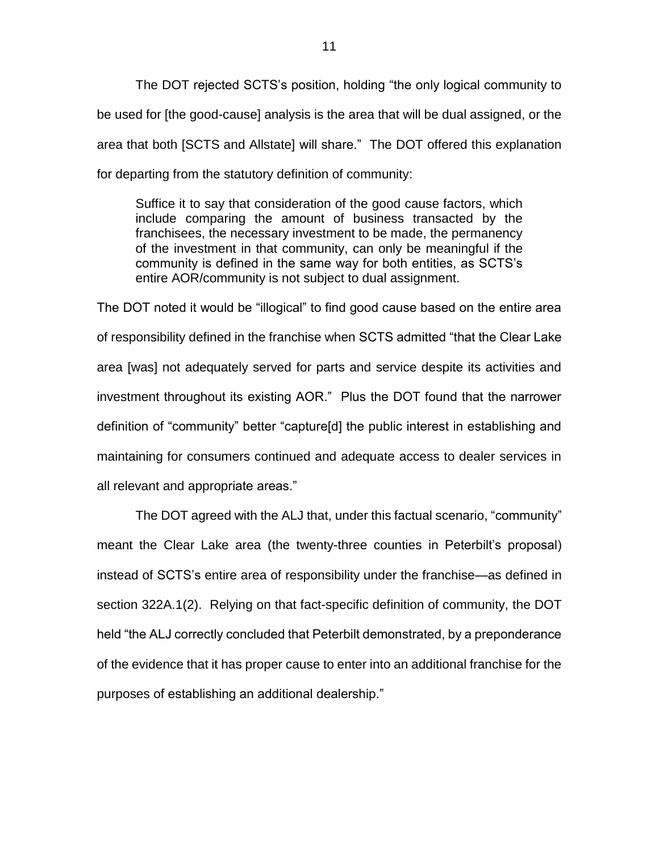The DOT rejected SCTS's position, holding "the only logical community to be used for [the good-cause] analysis is the area that will be dual assigned, or the area that both [SCTS and Allstate] will share." The DOT offered this explanation for departing from the statutory definition of community:

Suffice it to say that consideration of the good cause factors, which include comparing the amount of business transacted by the franchisees, the necessary investment to be made, the permanency of the investment in that community, can only be meaningful if the community is defined in the same way for both entities, as SCTS's entire AOR/community is not subject to dual assignment.

The DOT noted it would be "illogical" to find good cause based on the entire area of responsibility defined in the franchise when SCTS admitted "that the Clear Lake area [was] not adequately served for parts and service despite its activities and investment throughout its existing AOR." Plus the DOT found that the narrower definition of "community" better "capture[d] the public interest in establishing and maintaining for consumers continued and adequate access to dealer services in all relevant and appropriate areas."

The DOT agreed with the ALJ that, under this factual scenario, "community" meant the Clear Lake area (the twenty-three counties in Peterbilt's proposal) instead of SCTS's entire area of responsibility under the franchise—as defined in section 322A.1(2). Relying on that fact-specific definition of community, the DOT held "the ALJ correctly concluded that Peterbilt demonstrated, by a preponderance of the evidence that it has proper cause to enter into an additional franchise for the purposes of establishing an additional dealership."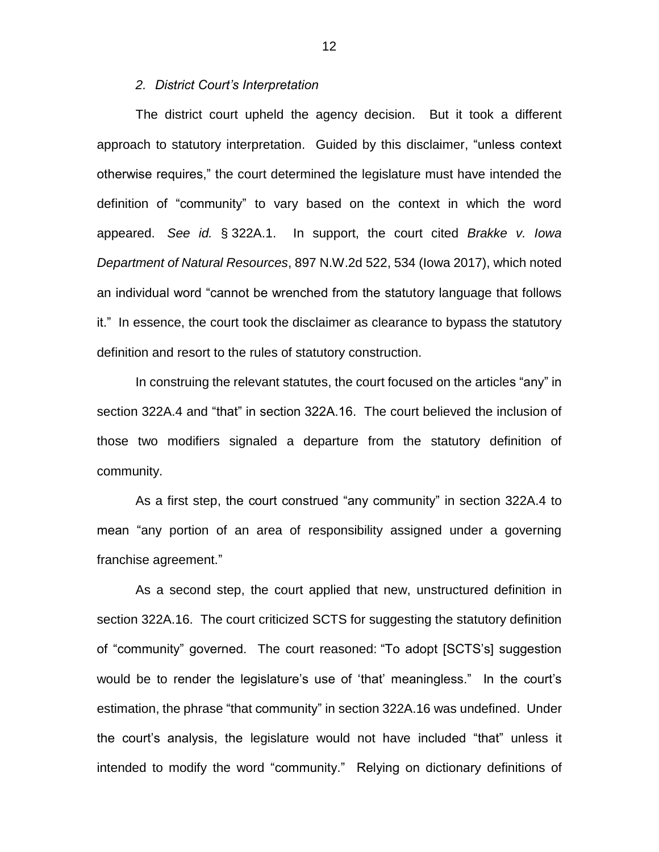#### *2. District Court's Interpretation*

The district court upheld the agency decision. But it took a different approach to statutory interpretation. Guided by this disclaimer, "unless context otherwise requires," the court determined the legislature must have intended the definition of "community" to vary based on the context in which the word appeared. *See id.* § 322A.1. In support, the court cited *Brakke v. Iowa Department of Natural Resources*, 897 N.W.2d 522, 534 (Iowa 2017), which noted an individual word "cannot be wrenched from the statutory language that follows it." In essence, the court took the disclaimer as clearance to bypass the statutory definition and resort to the rules of statutory construction.

In construing the relevant statutes, the court focused on the articles "any" in section 322A.4 and "that" in section 322A.16. The court believed the inclusion of those two modifiers signaled a departure from the statutory definition of community.

As a first step, the court construed "any community" in section 322A.4 to mean "any portion of an area of responsibility assigned under a governing franchise agreement."

As a second step, the court applied that new, unstructured definition in section 322A.16. The court criticized SCTS for suggesting the statutory definition of "community" governed. The court reasoned: "To adopt [SCTS's] suggestion would be to render the legislature's use of 'that' meaningless." In the court's estimation, the phrase "that community" in section 322A.16 was undefined. Under the court's analysis, the legislature would not have included "that" unless it intended to modify the word "community." Relying on dictionary definitions of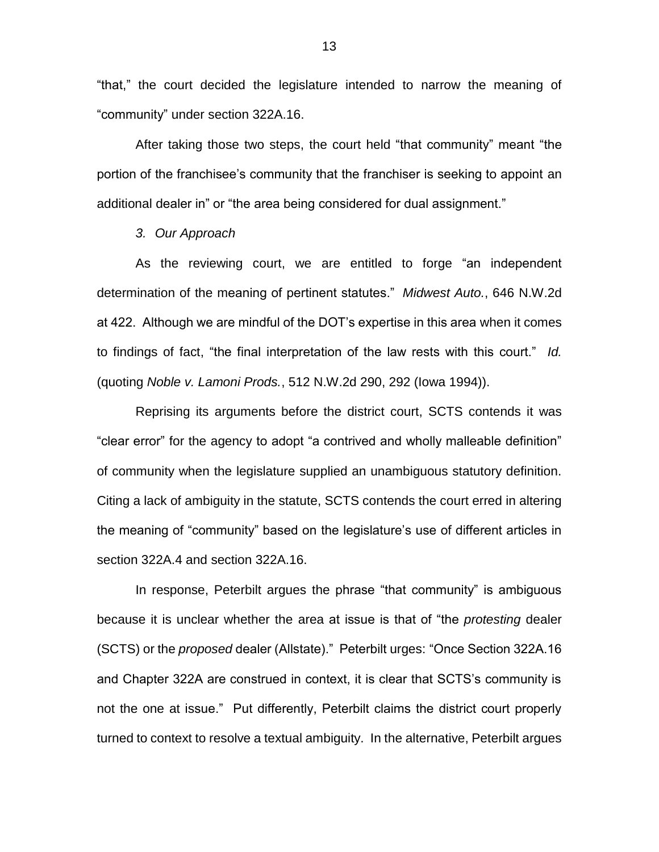"that," the court decided the legislature intended to narrow the meaning of "community" under section 322A.16.

After taking those two steps, the court held "that community" meant "the portion of the franchisee's community that the franchiser is seeking to appoint an additional dealer in" or "the area being considered for dual assignment."

*3. Our Approach* 

As the reviewing court, we are entitled to forge "an independent determination of the meaning of pertinent statutes." *Midwest Auto.*, 646 N.W.2d at 422. Although we are mindful of the DOT's expertise in this area when it comes to findings of fact, "the final interpretation of the law rests with this court." *Id.*  (quoting *Noble v. Lamoni Prods.*, 512 N.W.2d 290, 292 (Iowa 1994)).

Reprising its arguments before the district court, SCTS contends it was "clear error" for the agency to adopt "a contrived and wholly malleable definition" of community when the legislature supplied an unambiguous statutory definition. Citing a lack of ambiguity in the statute, SCTS contends the court erred in altering the meaning of "community" based on the legislature's use of different articles in section 322A.4 and section 322A.16.

In response, Peterbilt argues the phrase "that community" is ambiguous because it is unclear whether the area at issue is that of "the *protesting* dealer (SCTS) or the *proposed* dealer (Allstate)." Peterbilt urges: "Once Section 322A.16 and Chapter 322A are construed in context, it is clear that SCTS's community is not the one at issue." Put differently, Peterbilt claims the district court properly turned to context to resolve a textual ambiguity. In the alternative, Peterbilt argues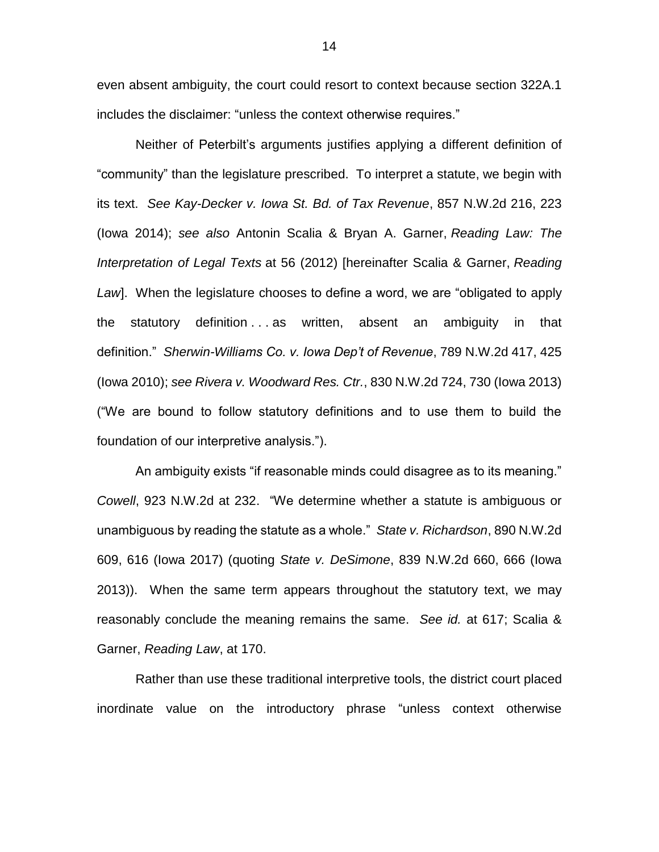even absent ambiguity, the court could resort to context because section 322A.1 includes the disclaimer: "unless the context otherwise requires."

Neither of Peterbilt's arguments justifies applying a different definition of "community" than the legislature prescribed. To interpret a statute, we begin with its text. *See Kay-Decker v. Iowa St. Bd. of Tax Revenue*, 857 N.W.2d 216, 223 (Iowa 2014); *see also* Antonin Scalia & Bryan A. Garner, *Reading Law: The Interpretation of Legal Texts* at 56 (2012) [hereinafter Scalia & Garner, *Reading Law*]. When the legislature chooses to define a word, we are "obligated to apply the statutory definition . . . as written, absent an ambiguity in that definition." *Sherwin-Williams Co. v. Iowa Dep't of Revenue*, 789 N.W.2d 417, 425 (Iowa 2010); *see Rivera v. Woodward Res. Ctr.*, 830 N.W.2d 724, 730 (Iowa 2013) ("We are bound to follow statutory definitions and to use them to build the foundation of our interpretive analysis.").

An ambiguity exists "if reasonable minds could disagree as to its meaning." *Cowell*, 923 N.W.2d at 232. "We determine whether a statute is ambiguous or unambiguous by reading the statute as a whole." *State v. Richardson*, 890 N.W.2d 609, 616 (Iowa 2017) (quoting *State v. DeSimone*, 839 N.W.2d 660, 666 (Iowa 2013)). When the same term appears throughout the statutory text, we may reasonably conclude the meaning remains the same. *See id.* at 617; Scalia & Garner, *Reading Law*, at 170.

Rather than use these traditional interpretive tools, the district court placed inordinate value on the introductory phrase "unless context otherwise

14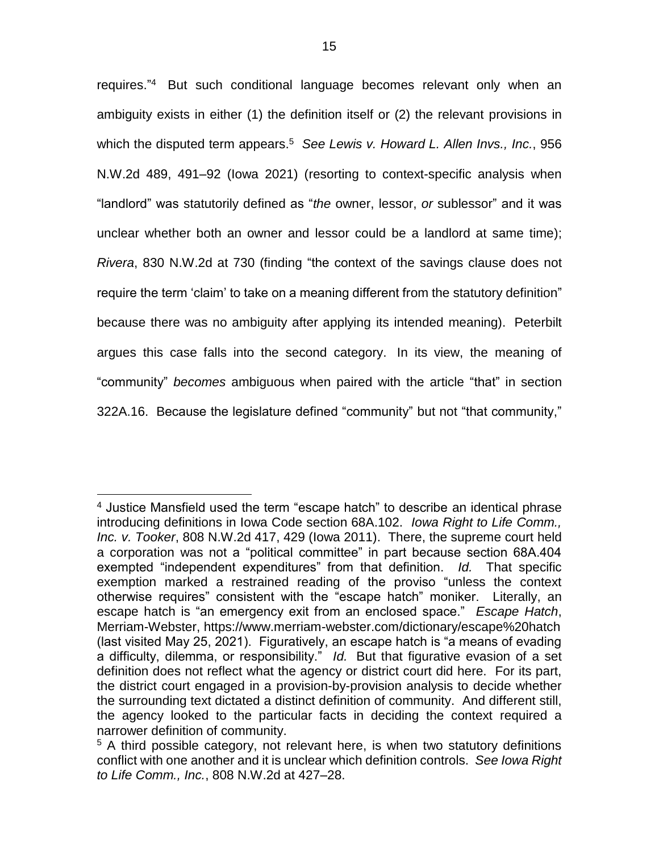requires."<sup>4</sup> But such conditional language becomes relevant only when an ambiguity exists in either (1) the definition itself or (2) the relevant provisions in which the disputed term appears.<sup>5</sup> See Lewis v. Howard L. Allen Invs., Inc., 956 N.W.2d 489, 491–92 (Iowa 2021) (resorting to context-specific analysis when "landlord" was statutorily defined as "*the* owner, lessor, *or* sublessor" and it was unclear whether both an owner and lessor could be a landlord at same time); *Rivera*, 830 N.W.2d at 730 (finding "the context of the savings clause does not require the term 'claim' to take on a meaning different from the statutory definition" because there was no ambiguity after applying its intended meaning). Peterbilt argues this case falls into the second category. In its view, the meaning of "community" *becomes* ambiguous when paired with the article "that" in section 322A.16. Because the legislature defined "community" but not "that community,"

<sup>&</sup>lt;sup>4</sup> Justice Mansfield used the term "escape hatch" to describe an identical phrase introducing definitions in Iowa Code section 68A.102. *Iowa Right to Life Comm., Inc. v. Tooker*, 808 N.W.2d 417, 429 (Iowa 2011). There, the supreme court held a corporation was not a "political committee" in part because section 68A.404 exempted "independent expenditures" from that definition. *Id.* That specific exemption marked a restrained reading of the proviso "unless the context otherwise requires" consistent with the "escape hatch" moniker. Literally, an escape hatch is "an emergency exit from an enclosed space." *Escape Hatch*, Merriam-Webster, https://www.merriam-webster.com/dictionary/escape%20hatch (last visited May 25, 2021). Figuratively, an escape hatch is "a means of evading a difficulty, dilemma, or responsibility." *Id.* But that figurative evasion of a set definition does not reflect what the agency or district court did here. For its part, the district court engaged in a provision-by-provision analysis to decide whether the surrounding text dictated a distinct definition of community. And different still, the agency looked to the particular facts in deciding the context required a narrower definition of community.

<sup>&</sup>lt;sup>5</sup> A third possible category, not relevant here, is when two statutory definitions conflict with one another and it is unclear which definition controls. *See Iowa Right to Life Comm., Inc.*, 808 N.W.2d at 427–28.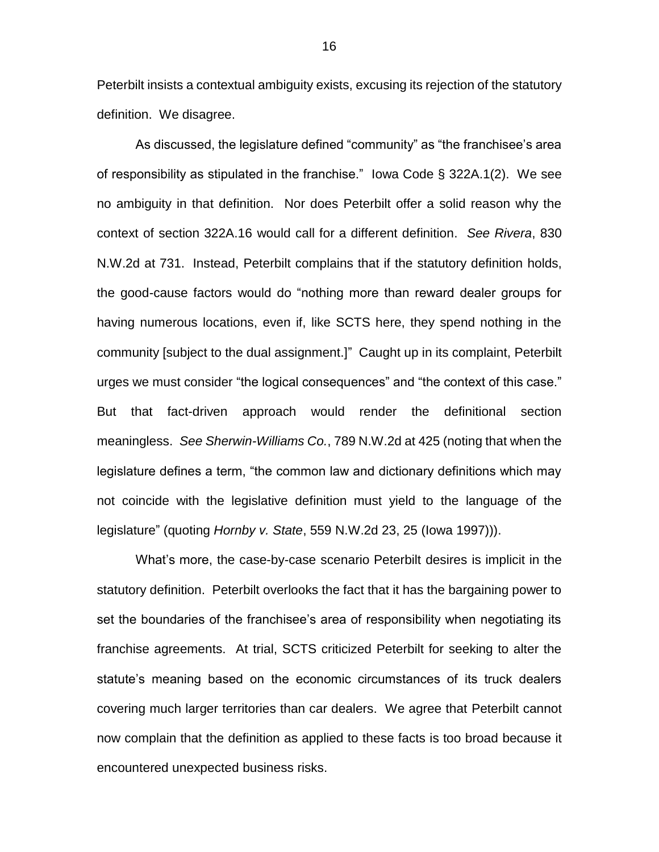Peterbilt insists a contextual ambiguity exists, excusing its rejection of the statutory definition. We disagree.

As discussed, the legislature defined "community" as "the franchisee's area of responsibility as stipulated in the franchise." Iowa Code § 322A.1(2). We see no ambiguity in that definition. Nor does Peterbilt offer a solid reason why the context of section 322A.16 would call for a different definition. *See Rivera*, 830 N.W.2d at 731. Instead, Peterbilt complains that if the statutory definition holds, the good-cause factors would do "nothing more than reward dealer groups for having numerous locations, even if, like SCTS here, they spend nothing in the community [subject to the dual assignment.]" Caught up in its complaint, Peterbilt urges we must consider "the logical consequences" and "the context of this case." But that fact-driven approach would render the definitional section meaningless. *See Sherwin-Williams Co.*, 789 N.W.2d at 425 (noting that when the legislature defines a term, "the common law and dictionary definitions which may not coincide with the legislative definition must yield to the language of the legislature" (quoting *Hornby v. State*, 559 N.W.2d 23, 25 (Iowa 1997))).

What's more, the case-by-case scenario Peterbilt desires is implicit in the statutory definition. Peterbilt overlooks the fact that it has the bargaining power to set the boundaries of the franchisee's area of responsibility when negotiating its franchise agreements. At trial, SCTS criticized Peterbilt for seeking to alter the statute's meaning based on the economic circumstances of its truck dealers covering much larger territories than car dealers. We agree that Peterbilt cannot now complain that the definition as applied to these facts is too broad because it encountered unexpected business risks.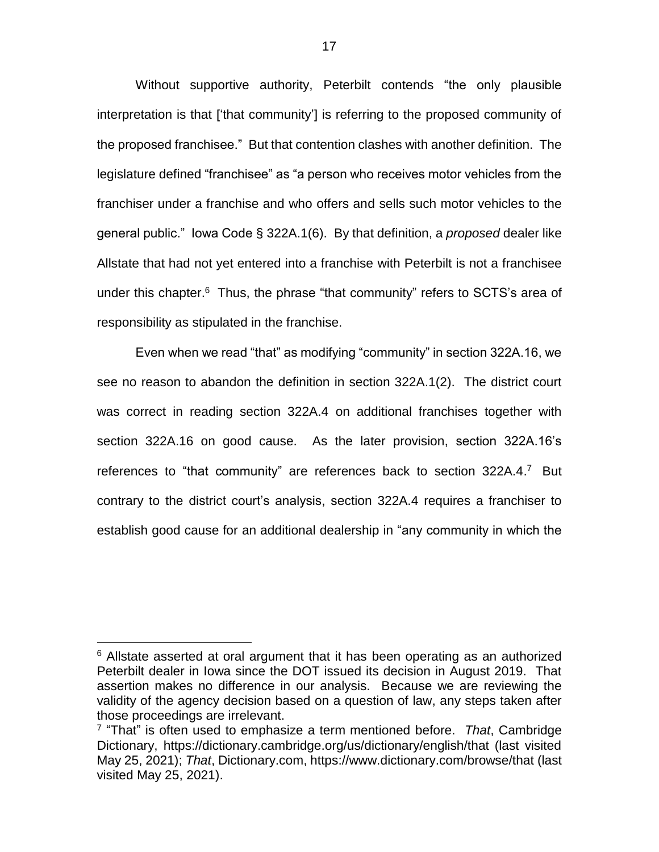Without supportive authority, Peterbilt contends "the only plausible interpretation is that ['that community'] is referring to the proposed community of the proposed franchisee." But that contention clashes with another definition. The legislature defined "franchisee" as "a person who receives motor vehicles from the franchiser under a franchise and who offers and sells such motor vehicles to the general public." Iowa Code § 322A.1(6). By that definition, a *proposed* dealer like Allstate that had not yet entered into a franchise with Peterbilt is not a franchisee under this chapter.<sup>6</sup> Thus, the phrase "that community" refers to SCTS's area of responsibility as stipulated in the franchise.

Even when we read "that" as modifying "community" in section 322A.16, we see no reason to abandon the definition in section 322A.1(2). The district court was correct in reading section 322A.4 on additional franchises together with section 322A.16 on good cause. As the later provision, section 322A.16's references to "that community" are references back to section 322A.4.7 But contrary to the district court's analysis, section 322A.4 requires a franchiser to establish good cause for an additional dealership in "any community in which the

 $6$  Allstate asserted at oral argument that it has been operating as an authorized Peterbilt dealer in Iowa since the DOT issued its decision in August 2019. That assertion makes no difference in our analysis. Because we are reviewing the validity of the agency decision based on a question of law, any steps taken after those proceedings are irrelevant.

<sup>7</sup> "That" is often used to emphasize a term mentioned before. *That*, Cambridge Dictionary, https://dictionary.cambridge.org/us/dictionary/english/that (last visited May 25, 2021); *That*, Dictionary.com, https://www.dictionary.com/browse/that (last visited May 25, 2021).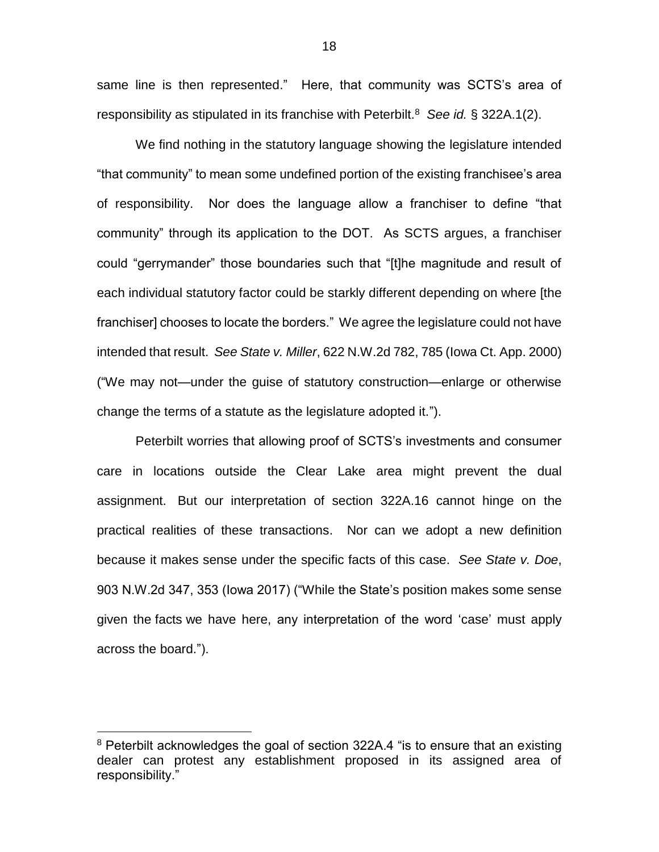same line is then represented." Here, that community was SCTS's area of responsibility as stipulated in its franchise with Peterbilt.<sup>8</sup> *See id.* § 322A.1(2).

We find nothing in the statutory language showing the legislature intended "that community" to mean some undefined portion of the existing franchisee's area of responsibility. Nor does the language allow a franchiser to define "that community" through its application to the DOT. As SCTS argues, a franchiser could "gerrymander" those boundaries such that "[t]he magnitude and result of each individual statutory factor could be starkly different depending on where [the franchiser] chooses to locate the borders." We agree the legislature could not have intended that result. *See State v. Miller*, 622 N.W.2d 782, 785 (Iowa Ct. App. 2000) ("We may not—under the guise of statutory construction—enlarge or otherwise change the terms of a statute as the legislature adopted it.").

Peterbilt worries that allowing proof of SCTS's investments and consumer care in locations outside the Clear Lake area might prevent the dual assignment. But our interpretation of section 322A.16 cannot hinge on the practical realities of these transactions. Nor can we adopt a new definition because it makes sense under the specific facts of this case. *See State v. Doe*, 903 N.W.2d 347, 353 (Iowa 2017) ("While the State's position makes some sense given the facts we have here, any interpretation of the word 'case' must apply across the board.").

<sup>&</sup>lt;sup>8</sup> Peterbilt acknowledges the goal of section 322A.4 "is to ensure that an existing dealer can protest any establishment proposed in its assigned area of responsibility."